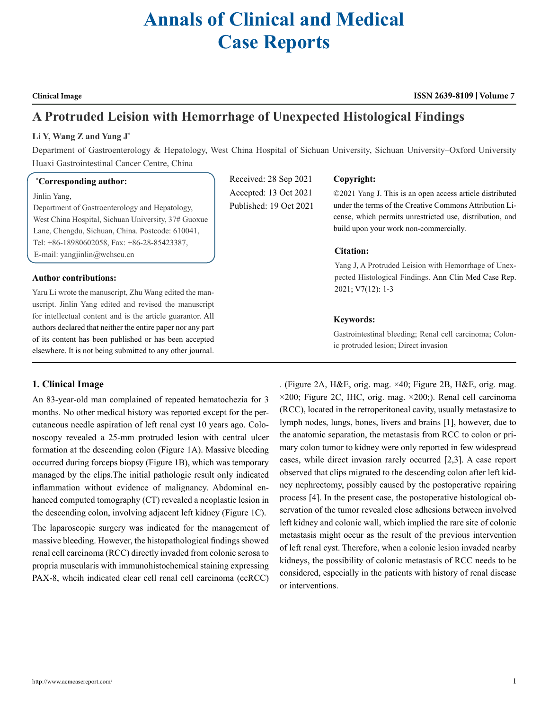# **Annals of Clinical and Medical Case Reports**

#### **Clinical Image ISSN 2639-8109 Volume 7**

## **A Protruded Leision with Hemorrhage of Unexpected Histological Findings**

#### **Li Y, Wang Z and Yang J\***

Department of Gastroenterology & Hepatology, West China Hospital of Sichuan University, Sichuan University–Oxford University Huaxi Gastrointestinal Cancer Centre, China

#### **\* Corresponding author:**

#### Jinlin Yang,

Department of Gastroenterology and Hepatology, West China Hospital, Sichuan University, 37# Guoxue Lane, Chengdu, Sichuan, China. Postcode: 610041, Tel: +86-18980602058, Fax: +86-28-85423387, E-mail: yangjinlin@wchscu.cn

#### **Author contributions:**

Yaru Li wrote the manuscript, Zhu Wang edited the manuscript. Jinlin Yang edited and revised the manuscript for intellectual content and is the article guarantor. All authors declared that neither the entire paper nor any part of its content has been published or has been accepted elsewhere. It is not being submitted to any other journal.

### Received: 28 Sep 2021 Accepted: 13 Oct 2021 Published: 19 Oct 2021

#### **Copyright:**

©2021 Yang J. This is an open access article distributed under the terms of the Creative Commons Attribution License, which permits unrestricted use, distribution, and build upon your work non-commercially.

#### **Citation:**

Yang J, A Protruded Leision with Hemorrhage of Unexpected Histological Findings. Ann Clin Med Case Rep. 2021; V7(12): 1-3

#### **Keywords:**

Gastrointestinal bleeding; Renal cell carcinoma; Colonic protruded lesion; Direct invasion

### **1. Clinical Image**

An 83-year-old man complained of repeated hematochezia for 3 months. No other medical history was reported except for the percutaneous needle aspiration of left renal cyst 10 years ago. Colonoscopy revealed a 25-mm protruded lesion with central ulcer formation at the descending colon (Figure 1A). Massive bleeding occurred during forceps biopsy (Figure 1B), which was temporary managed by the clips.The initial pathologic result only indicated inflammation without evidence of malignancy. Abdominal enhanced computed tomography (CT) revealed a neoplastic lesion in the descending colon, involving adjacent left kidney (Figure 1C).

The laparoscopic surgery was indicated for the management of massive bleeding. However, the histopathological findings showed renal cell carcinoma (RCC) directly invaded from colonic serosa to propria muscularis with immunohistochemical staining expressing PAX-8, whcih indicated clear cell renal cell carcinoma (ccRCC)

. (Figure 2A, H&E, orig. mag. ×40; Figure 2B, H&E, orig. mag.  $\times$ 200; Figure 2C, IHC, orig. mag.  $\times$ 200;). Renal cell carcinoma (RCC), located in the retroperitoneal cavity, usually metastasize to lymph nodes, lungs, bones, livers and brains [1], however, due to the anatomic separation, the metastasis from RCC to colon or primary colon tumor to kidney were only reported in few widespread cases, while direct invasion rarely occurred [2,3]. A case report observed that clips migrated to the descending colon after left kidney nephrectomy, possibly caused by the postoperative repairing process [4]. In the present case, the postoperative histological observation of the tumor revealed close adhesions between involved left kidney and colonic wall, which implied the rare site of colonic metastasis might occur as the result of the previous intervention of left renal cyst. Therefore, when a colonic lesion invaded nearby kidneys, the possibility of colonic metastasis of RCC needs to be considered, especially in the patients with history of renal disease or interventions.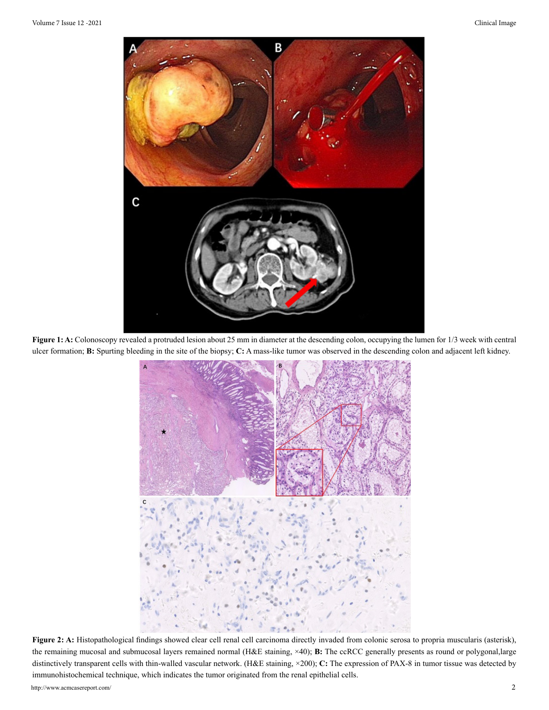

Figure 1: A: Colonoscopy revealed a protruded lesion about 25 mm in diameter at the descending colon, occupying the lumen for 1/3 week with central ulcer formation; **B:** Spurting bleeding in the site of the biopsy; **C:** A mass-like tumor was observed in the descending colon and adjacent left kidney.



Figure 2: A: Histopathological findings showed clear cell renal cell carcinoma directly invaded from colonic serosa to propria muscularis (asterisk), the remaining mucosal and submucosal layers remained normal (H&E staining, ×40); **B:** The ccRCC generally presents as round or polygonal,large distinctively transparent cells with thin-walled vascular network. (H&E staining, ×200); **C:** The expression of PAX-8 in tumor tissue was detected by immunohistochemical technique, which indicates the tumor originated from the renal epithelial cells.

http://www.acmcasereport.com/ 2